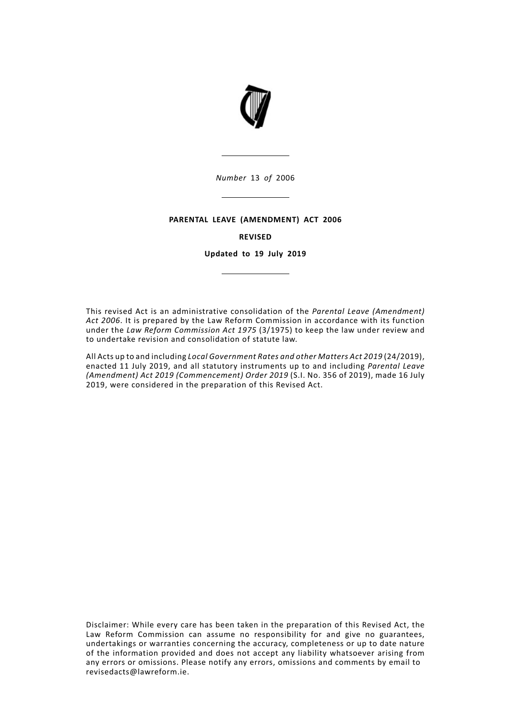

### **PARENTAL LEAVE (AMENDMENT) ACT 2006**

#### **REVISED**

**Updated to 19 July 2019**

This revised Act is an administrative consolidation of the *Parental Leave (Amendment) Act 2006*. It is prepared by the Law Reform Commission in accordance with its function under the *Law Reform Commission Act 1975* (3/1975) to keep the law under review and to undertake revision and consolidation of statute law.

All Acts up to and including *Local Government Rates and other Matters Act 2019* (24/2019), enacted 11 July 2019, and all statutory instruments up to and including *Parental Leave (Amendment) Act 2019 (Commencement) Order 2019* (S.I. No. 356 of 2019), made 16 July 2019, were considered in the preparation of this Revised Act.

Disclaimer: While every care has been taken in the preparation of this Revised Act, the Law Reform Commission can assume no responsibility for and give no guarantees, undertakings or warranties concerning the accuracy, completeness or up to date nature of the information provided and does not accept any liability whatsoever arising from any errors or omissions. Please notify any errors, omissions and comments by email to revisedacts@lawreform.ie.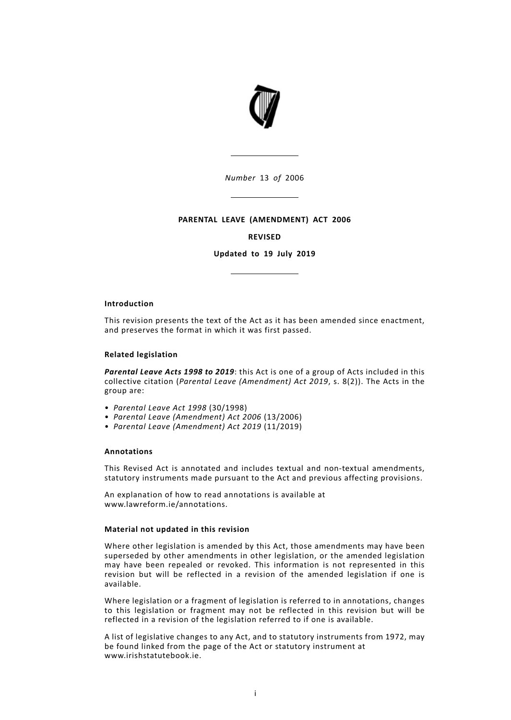

### **PARENTAL LEAVE (AMENDMENT) ACT 2006**

#### **REVISED**

**Updated to 19 July 2019**

#### **Introduction**

This revision presents the text of the Act as it has been amended since enactment, and preserves the format in which it was first passed.

#### **Related legislation**

*Parental Leave Acts 1998 to 2019*: this Act is one of a group of Acts included in this collective citation (*Parental Leave (Amendment) Act 2019*, s. 8(2)). The Acts in the group are:

- *Parental Leave Act 1998* (30/1998)
- *Parental Leave (Amendment) Act 2006* (13/2006)
- *Parental Leave (Amendment) Act 2019* (11/2019)

#### **Annotations**

This Revised Act is annotated and includes textual and non-textual amendments, statutory instruments made pursuant to the Act and previous affecting provisions.

An explanation of how to read annotations is available at www.lawreform.ie/annotations.

## **Material not updated in this revision**

Where other legislation is amended by this Act, those amendments may have been superseded by other amendments in other legislation, or the amended legislation may have been repealed or revoked. This information is not represented in this revision but will be reflected in a revision of the amended legislation if one is available.

Where legislation or a fragment of legislation is referred to in annotations, changes to this legislation or fragment may not be reflected in this revision but will be reflected in a revision of the legislation referred to if one is available.

A list of legislative changes to any Act, and to statutory instruments from 1972, may be found linked from the page of the Act or statutory instrument at www.irishstatutebook.ie.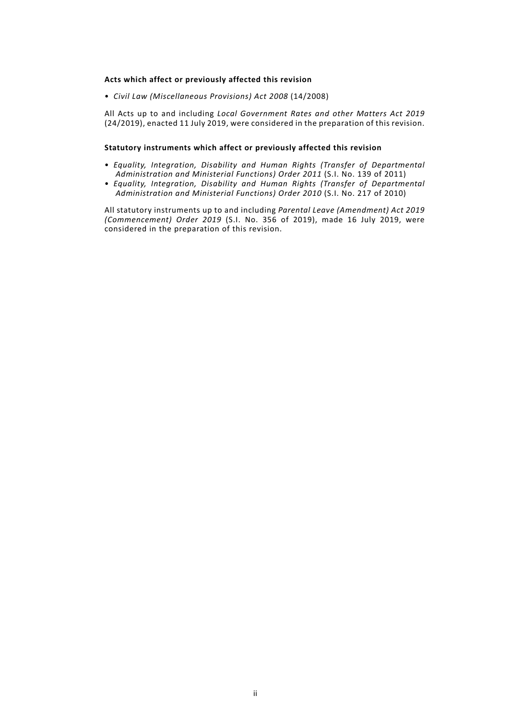### **Acts which affect or previously affected this revision**

• *Civil Law (Miscellaneous Provisions) Act 2008* (14/2008)

All Acts up to and including *Local Government Rates and other Matters Act 2019* (24/2019), enacted 11 July 2019, were considered in the preparation of this revision.

# **Statutory instruments which affect or previously affected this revision**

- *Equality, Integration, Disability and Human Rights (Transfer of Departmental Administration and Ministerial Functions) Order 2011* (S.I. No. 139 of 2011)
- *Equality, Integration, Disability and Human Rights (Transfer of Departmental Administration and Ministerial Functions) Order 2010* (S.I. No. 217 of 2010)

All statutory instruments up to and including *Parental Leave (Amendment) Act 2019 (Commencement) Order 2019* (S.I. No. 356 of 2019), made 16 July 2019, were considered in the preparation of this revision.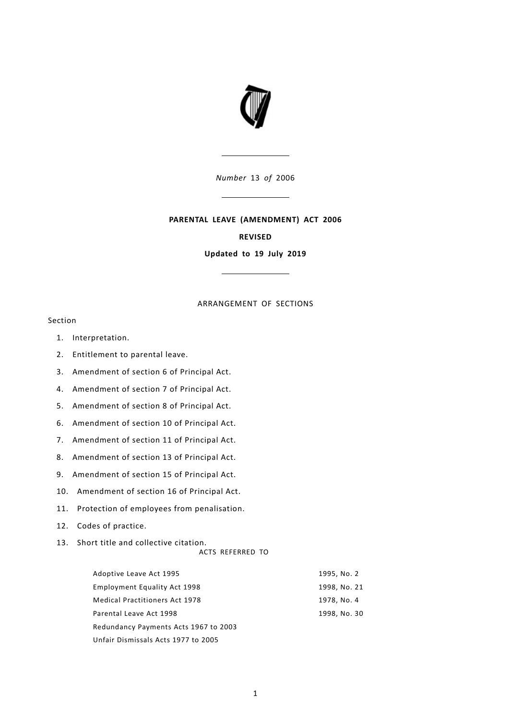

# **PARENTAL LEAVE (AMENDMENT) ACT 2006**

### **REVISED**

**Updated to 19 July 2019**

# ARRANGEMENT OF SECTIONS

# Section

- 1. [Interpretation.](#page-6-0)
- 2. [Entitlement](#page-6-1) to parental leave.
- 3. [Amendment](#page-8-0) of section 6 of Principal Act.
- 4. [Amendment](#page-8-1) of section 7 of Principal Act.
- 5. [Amendment](#page-9-0) of section 8 of Principal Act.
- 6. [Amendment](#page-10-0) of section 10 of Principal Act.
- 7. [Amendment](#page-11-0) of section 11 of Principal Act.
- 8. [Amendment](#page-11-1) of section 13 of Principal Act.
- 9. [Amendment](#page-11-2) of section 15 of Principal Act.
- 10. [Amendment](#page-12-0) of section 16 of Principal Act.
- 11. Protection of employees from [penalisation.](#page-12-1)
- 12. Codes of [practice.](#page-13-0)
- 13. Short title and [collective](#page-13-1) citation.
	- ACTS REFERRED TO

| Adoptive Leave Act 1995               | 1995, No. 2  |
|---------------------------------------|--------------|
| Employment Equality Act 1998          | 1998, No. 21 |
| <b>Medical Practitioners Act 1978</b> | 1978, No. 4  |
| Parental Leave Act 1998               | 1998, No. 30 |
| Redundancy Payments Acts 1967 to 2003 |              |
| Unfair Dismissals Acts 1977 to 2005   |              |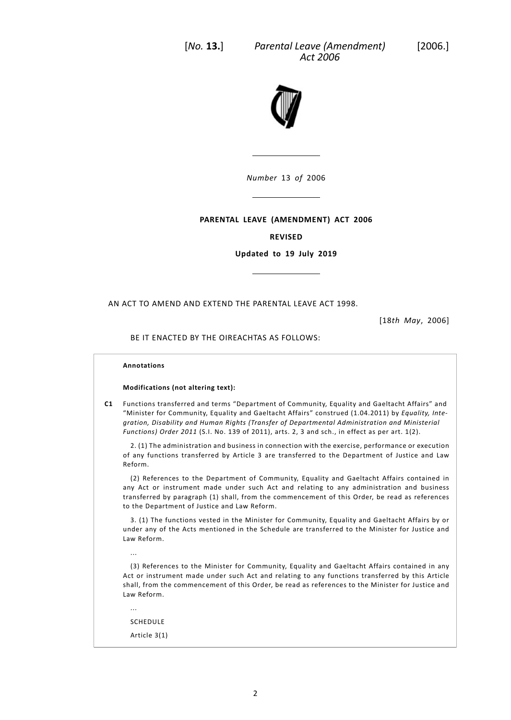

# **PARENTAL LEAVE (AMENDMENT) ACT 2006**

# **REVISED**

**Updated to 19 July 2019**

AN ACT TO AMEND AND EXTEND THE PARENTAL LEAVE ACT 1998.

[18*th May*, 2006]

### BE IT ENACTED BY THE OIREACHTAS AS FOLLOWS:

#### **Annotations**

#### **Modifications (not altering text):**

**C1** Functions transferred and terms "Department of Community, Equality and Gaeltacht Affairs" and "Minister for Community, Equality and Gaeltacht Affairs" construed (1.04.2011) by *Equality, Integration, Disability and Human Rights (Transfer of Departmental Administration and Ministerial Functions) Order 2011* (S.I. No. 139 of 2011), arts. 2, 3 and sch., in effect as per art. 1(2).

2. (1) The administration and business in connection with the exercise, performance or execution of any functions transferred by Article 3 are transferred to the Department of Justice and Law Reform.

(2) References to the Department of Community, Equality and Gaeltacht Affairs contained in any Act or instrument made under such Act and relating to any administration and business transferred by paragraph (1) shall, from the commencement of this Order, be read as references to the Department of Justice and Law Reform.

3. (1) The functions vested in the Minister for Community, Equality and Gaeltacht Affairs by or under any of the Acts mentioned in the Schedule are transferred to the Minister for Justice and Law Reform.

(3) References to the Minister for Community, Equality and Gaeltacht Affairs contained in any Act or instrument made under such Act and relating to any functions transferred by this Article shall, from the commencement of this Order, be read as references to the Minister for Justice and Law Reform.

SCHEDULE

...

...

Article 3(1)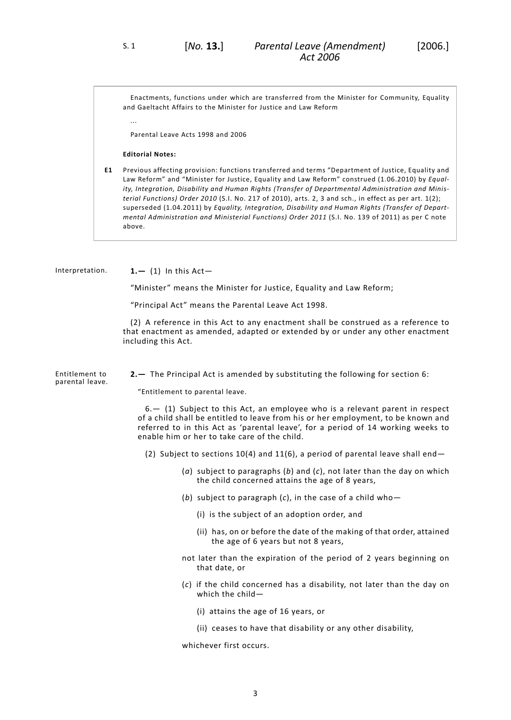Enactments, functions under which are transferred from the Minister for Community, Equality and Gaeltacht Affairs to the Minister for Justice and Law Reform

...

Parental Leave Acts 1998 and 2006

#### **Editorial Notes:**

<span id="page-6-0"></span>**E1** Previous affecting provision: functions transferred and terms "Department of Justice, Equality and Law Reform" and "Minister for Justice, Equality and Law Reform" construed (1.06.2010) by *Equality, Integration, Disability and Human Rights (Transfer of Departmental Administration and Ministerial Functions) Order 2010* (S.I. No. 217 of 2010), arts. 2, 3 and sch., in effect as per art. 1(2); superseded (1.04.2011) by *Equality, Integration, Disability and Human Rights (Transfer of Departmental Administration and Ministerial Functions) Order 2011* (S.I. No. 139 of 2011) as per C note above.

Interpretation. **1.—** (1) In this Act—

"Minister" means the Minister for Justice, Equality and Law Reform;

"Principal Act" means the Parental Leave Act 1998.

<span id="page-6-1"></span>(2) A reference in this Act to any enactment shall be construed as a reference to that enactment as amended, adapted or extended by or under any other enactment including this Act.

Entitlement to parental leave. **2.—** The Principal Act is amended by substituting the following for section 6:

"Entitlement to parental leave.

6.— (1) Subject to this Act, an employee who is a relevant parent in respect of a child shall be entitled to leave from his or her employment, to be known and referred to in this Act as 'parental leave', for a period of 14 working weeks to enable him or her to take care of the child.

(2) Subject to sections  $10(4)$  and  $11(6)$ , a period of parental leave shall end-

- (*a*) subject to paragraphs (*b*) and (*c*), not later than the day on which the child concerned attains the age of 8 years,
- (*b*) subject to paragraph (*c*), in the case of a child who—
	- (i) is the subject of an adoption order, and
	- (ii) has, on or before the date of the making of that order, attained the age of 6 years but not 8 years,
- not later than the expiration of the period of 2 years beginning on that date, or
- (*c*) if the child concerned has a disability, not later than the day on which the child—
	- (i) attains the age of 16 years, or
	- (ii) ceases to have that disability or any other disability,

whichever first occurs.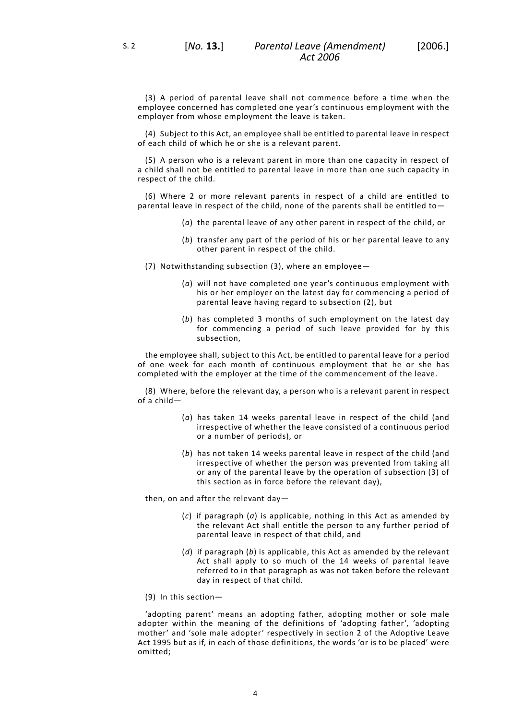(3) A period of parental leave shall not commence before a time when the employee concerned has completed one year's continuous employment with the

employer from whose employment the leave is taken.

(4) Subject to this Act, an employee shall be entitled to parental leave in respect of each child of which he or she is a relevant parent.

(5) A person who is a relevant parent in more than one capacity in respect of a child shall not be entitled to parental leave in more than one such capacity in respect of the child.

(6) Where 2 or more relevant parents in respect of a child are entitled to parental leave in respect of the child, none of the parents shall be entitled to—

- (*a*) the parental leave of any other parent in respect of the child, or
- (*b*) transfer any part of the period of his or her parental leave to any other parent in respect of the child.

(7) Notwithstanding subsection (3), where an employee—

- (*a*) will not have completed one year's continuous employment with his or her employer on the latest day for commencing a period of parental leave having regard to subsection (2), but
- (*b*) has completed 3 months of such employment on the latest day for commencing a period of such leave provided for by this subsection,

the employee shall, subject to this Act, be entitled to parental leave for a period of one week for each month of continuous employment that he or she has completed with the employer at the time of the commencement of the leave.

(8) Where, before the relevant day, a person who is a relevant parent in respect of a child—

- (*a*) has taken 14 weeks parental leave in respect of the child (and irrespective of whether the leave consisted of a continuous period or a number of periods), or
- (*b*) has not taken 14 weeks parental leave in respect of the child (and irrespective of whether the person was prevented from taking all or any of the parental leave by the operation of subsection (3) of this section as in force before the relevant day),

then, on and after the relevant day—

- (*c*) if paragraph (*a*) is applicable, nothing in this Act as amended by the relevant Act shall entitle the person to any further period of parental leave in respect of that child, and
- (*d*) if paragraph (*b*) is applicable, this Act as amended by the relevant Act shall apply to so much of the 14 weeks of parental leave referred to in that paragraph as was not taken before the relevant day in respect of that child.
- (9) In this section—

'adopting parent' means an adopting father, adopting mother or sole male adopter within the meaning of the definitions of 'adopting father', 'adopting mother' and 'sole male adopter' respectively in section 2 of the Adoptive Leave Act 1995 but as if, in each of those definitions, the words 'or is to be placed' were omitted;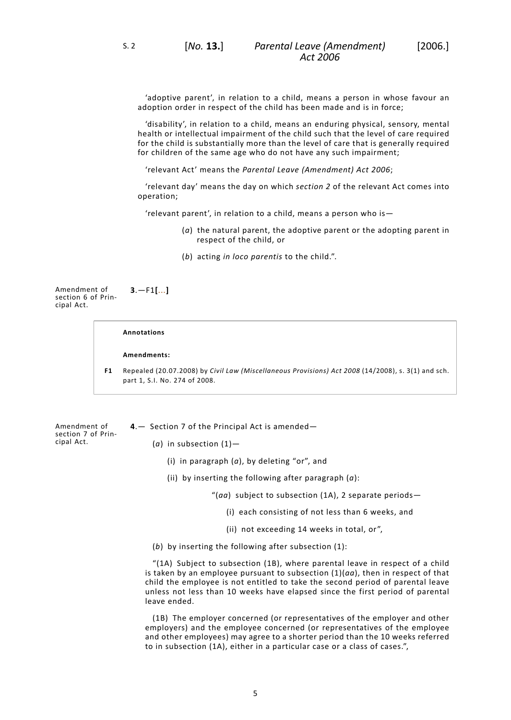'adoptive parent', in relation to a child, means a person in whose favour an adoption order in respect of the child has been made and is in force;

'disability', in relation to a child, means an enduring physical, sensory, mental health or intellectual impairment of the child such that the level of care required for the child is substantially more than the level of care that is generally required for children of the same age who do not have any such impairment;

'relevant Act' means the *Parental Leave (Amendment) Act 2006*;

'relevant day' means the day on which *section [2](#page-6-1)* of the relevant Act comes into operation;

<span id="page-8-0"></span>'relevant parent', in relation to a child, means a person who is—

- (*a*) the natural parent, the adoptive parent or the adopting parent in respect of the child, or
- (*b*) acting *in loco parentis* to the child.".

Amendment of section 6 of Principal Act. **3**.—F1**[**...**]**

#### **Annotations**

**Amendments:**

<span id="page-8-1"></span>**F1** Repealed (20.07.2008) by *Civil Law (Miscellaneous Provisions) Act 2008* (14/2008), s. 3(1) and sch. part 1, S.I. No. 274 of 2008.

Amendment of section 7 of Principal Act.

- **4**.— Section 7 of the Principal Act is amended—
	- (*a*) in subsection (1)—
		- (i) in paragraph (*a*), by deleting "or", and
		- (ii) by inserting the following after paragraph (*a*):
			- "(*aa*) subject to subsection (1A), 2 separate periods—
				- (i) each consisting of not less than 6 weeks, and
				- (ii) not exceeding 14 weeks in total, or",
	- (*b*) by inserting the following after subsection (1):

"(1A) Subject to subsection (1B), where parental leave in respect of a child is taken by an employee pursuant to subsection  $(1)(aa)$ , then in respect of that child the employee is not entitled to take the second period of parental leave unless not less than 10 weeks have elapsed since the first period of parental leave ended.

(1B) The employer concerned (or representatives of the employer and other employers) and the employee concerned (or representatives of the employee and other employees) may agree to a shorter period than the 10 weeks referred to in subsection (1A), either in a particular case or a class of cases.",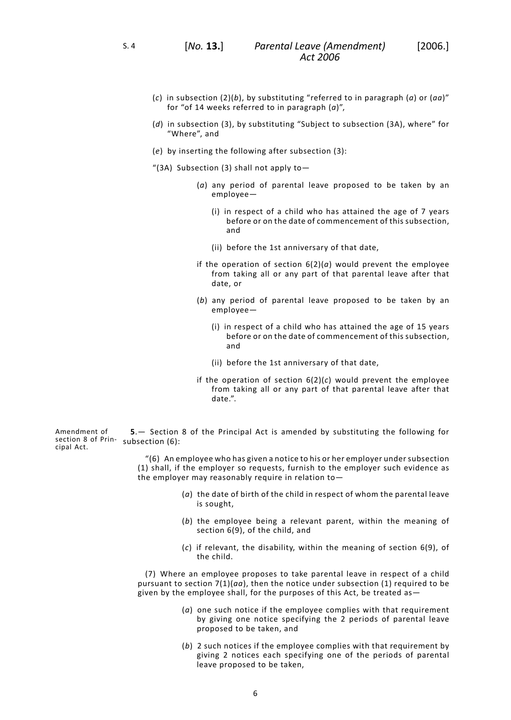- (*c*) in subsection (2)(*b*), by substituting "referred to in paragraph (*a*) or (*aa*)" for "of 14 weeks referred to in paragraph (*a*)",
- (*d*) in subsection (3), by substituting "Subject to subsection (3A), where" for "Where", and
- (*e*) by inserting the following after subsection (3):
- "(3A) Subsection (3) shall not apply to  $-$ 
	- (*a*) any period of parental leave proposed to be taken by an employee—
		- (i) in respect of a child who has attained the age of 7 years before or on the date of commencement of this subsection, and
		- (ii) before the 1st anniversary of that date,
	- if the operation of section  $6(2)(a)$  would prevent the employee from taking all or any part of that parental leave after that date, or
	- (*b*) any period of parental leave proposed to be taken by an employee—
		- (i) in respect of a child who has attained the age of 15 years before or on the date of commencement of this subsection, and
		- (ii) before the 1st anniversary of that date,
	- if the operation of section 6(2)(*c*) would prevent the employee from taking all or any part of that parental leave after that date.".

<span id="page-9-0"></span>Amendment of section 8 of Prin-subsection (6): cipal Act. **5**.— Section 8 of the Principal Act is amended by substituting the following for

> "(6) An employee who has given a notice to his or her employer under subsection (1) shall, if the employer so requests, furnish to the employer such evidence as the employer may reasonably require in relation to—

- (*a*) the date of birth of the child in respect of whom the parental leave is sought,
- (*b*) the employee being a relevant parent, within the meaning of section 6(9), of the child, and
- (*c*) if relevant, the disability, within the meaning of section 6(9), of the child.

(7) Where an employee proposes to take parental leave in respect of a child pursuant to section 7(1)(*aa*), then the notice under subsection (1) required to be given by the employee shall, for the purposes of this Act, be treated as—

- (*a*) one such notice if the employee complies with that requirement by giving one notice specifying the 2 periods of parental leave proposed to be taken, and
- (*b*) 2 such notices if the employee complies with that requirement by giving 2 notices each specifying one of the periods of parental leave proposed to be taken,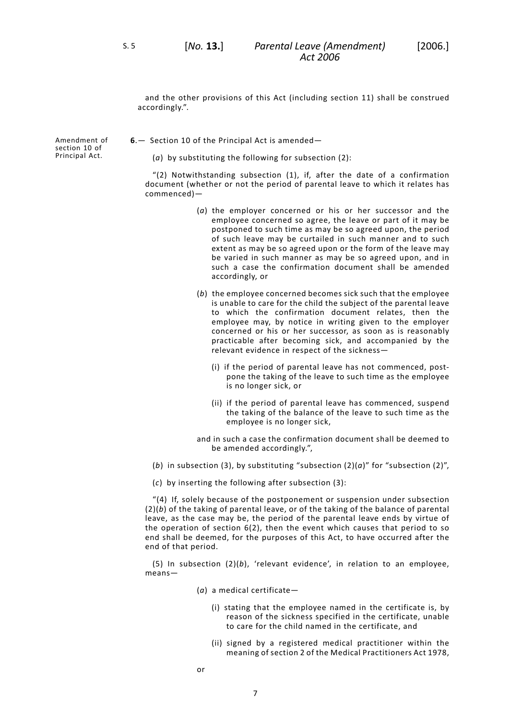S. 5 [*No.* **13.**]

<span id="page-10-0"></span>and the other provisions of this Act (including section 11) shall be construed accordingly.".

Amendment of section 10 of Principal Act.

**6**.— Section 10 of the Principal Act is amended—

(*a*) by substituting the following for subsection (2):

"(2) Notwithstanding subsection (1), if, after the date of a confirmation document (whether or not the period of parental leave to which it relates has commenced)—

- (*a*) the employer concerned or his or her successor and the employee concerned so agree, the leave or part of it may be postponed to such time as may be so agreed upon, the period of such leave may be curtailed in such manner and to such extent as may be so agreed upon or the form of the leave may be varied in such manner as may be so agreed upon, and in such a case the confirmation document shall be amended accordingly, or
- (*b*) the employee concerned becomes sick such that the employee is unable to care for the child the subject of the parental leave to which the confirmation document relates, then the employee may, by notice in writing given to the employer concerned or his or her successor, as soon as is reasonably practicable after becoming sick, and accompanied by the relevant evidence in respect of the sickness—
	- (i) if the period of parental leave has not commenced, postpone the taking of the leave to such time as the employee is no longer sick, or
	- (ii) if the period of parental leave has commenced, suspend the taking of the balance of the leave to such time as the employee is no longer sick,
- and in such a case the confirmation document shall be deemed to be amended accordingly.",
- (*b*) in subsection (3), by substituting "subsection  $(2)(a)$ " for "subsection  $(2)$ ",

(*c*) by inserting the following after subsection (3):

"(4) If, solely because of the postponement or suspension under subsection (2)(*b*) of the taking of parental leave, or of the taking of the balance of parental leave, as the case may be, the period of the parental leave ends by virtue of the operation of section 6(2), then the event which causes that period to so end shall be deemed, for the purposes of this Act, to have occurred after the end of that period.

(5) In subsection (2)(*b*), 'relevant evidence', in relation to an employee, means—

- (*a*) a medical certificate—
	- (i) stating that the employee named in the certificate is, by reason of the sickness specified in the certificate, unable to care for the child named in the certificate, and
	- (ii) signed by a registered medical practitioner within the meaning of section 2 of the Medical Practitioners Act 1978,
- or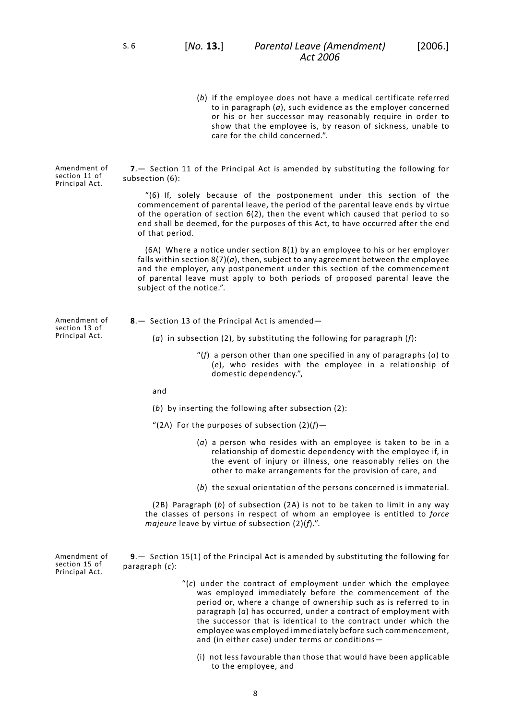Amendment of section 11 of Principal Act.

Amendment of section 13 of Principal Act.

<span id="page-11-0"></span>**7**.— Section 11 of the Principal Act is amended by substituting the following for subsection (6):

care for the child concerned.".

"(6) If, solely because of the postponement under this section of the commencement of parental leave, the period of the parental leave ends by virtue of the operation of section 6(2), then the event which caused that period to so end shall be deemed, for the purposes of this Act, to have occurred after the end of that period.

<span id="page-11-1"></span>(6A) Where a notice under section 8(1) by an employee to his or her employer falls within section 8(7)(*a*), then, subject to any agreement between the employee and the employer, any postponement under this section of the commencement of parental leave must apply to both periods of proposed parental leave the subject of the notice.".

**8**.— Section 13 of the Principal Act is amended—

(*a*) in subsection (2), by substituting the following for paragraph (*f*):

"(*f*) a person other than one specified in any of paragraphs (*a*) to (*e*), who resides with the employee in a relationship of domestic dependency.",

and

- (*b*) by inserting the following after subsection (2):
- "(2A) For the purposes of subsection (2)(*f*)—
	- (*a*) a person who resides with an employee is taken to be in a relationship of domestic dependency with the employee if, in the event of injury or illness, one reasonably relies on the other to make arrangements for the provision of care, and
	- (*b*) the sexual orientation of the persons concerned is immaterial.

<span id="page-11-2"></span>(2B) Paragraph (*b*) of subsection (2A) is not to be taken to limit in any way the classes of persons in respect of whom an employee is entitled to *force majeure* leave by virtue of subsection (2)(*f*).".

Amendment of section 15 of Principal Act.

**9**.— Section 15(1) of the Principal Act is amended by substituting the following for paragraph (*c*):

- "(*c*) under the contract of employment under which the employee was employed immediately before the commencement of the period or, where a change of ownership such as is referred to in paragraph (*a*) has occurred, under a contract of employment with the successor that is identical to the contract under which the employee was employed immediately before such commencement, and (in either case) under terms or conditions—
	- (i) not less favourable than those that would have been applicable to the employee, and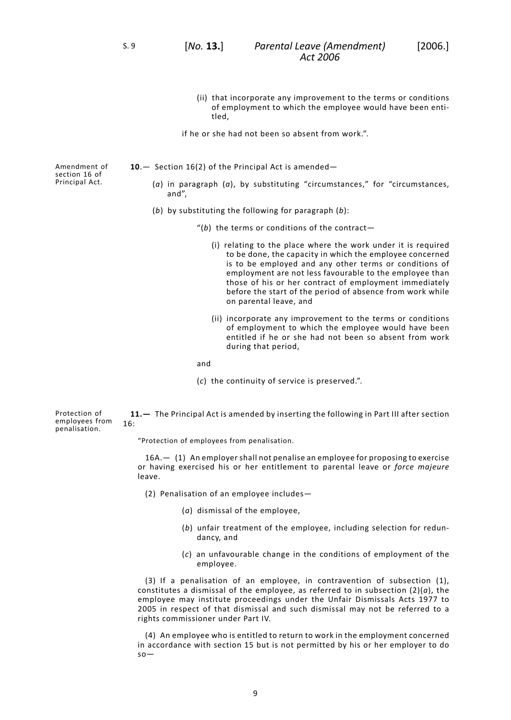S. 9 [*No.* **13.**]

- (ii) that incorporate any improvement to the terms or conditions of employment to which the employee would have been entitled,
- if he or she had not been so absent from work.".

Amendment of section 16 of Principal Act.

- <span id="page-12-0"></span>**10**.— Section 16(2) of the Principal Act is amended—
	- (*a*) in paragraph (*a*), by substituting "circumstances," for "circumstances, and",
	- (*b*) by substituting the following for paragraph (*b*):
		- "(*b*) the terms or conditions of the contract—
			- (i) relating to the place where the work under it is required to be done, the capacity in which the employee concerned is to be employed and any other terms or conditions of employment are not less favourable to the employee than those of his or her contract of employment immediately before the start of the period of absence from work while on parental leave, and
			- (ii) incorporate any improvement to the terms or conditions of employment to which the employee would have been entitled if he or she had not been so absent from work during that period,

and

(*c*) the continuity of service is preserved.".

<span id="page-12-1"></span>Protection of **11.—** The Principal Act is amended by inserting the following in Part III after section 16:

"Protection of employees from penalisation.

16A.— (1) An employer shall not penalise an employee for proposing to exercise or having exercised his or her entitlement to parental leave or *force majeure* leave.

(2) Penalisation of an employee includes—

- (*a*) dismissal of the employee,
- (*b*) unfair treatment of the employee, including selection for redundancy, and
- (*c*) an unfavourable change in the conditions of employment of the employee.

(3) If a penalisation of an employee, in contravention of subsection (1), constitutes a dismissal of the employee, as referred to in subsection (2)(*a*), the employee may institute proceedings under the Unfair Dismissals Acts 1977 to 2005 in respect of that dismissal and such dismissal may not be referred to a rights commissioner under Part IV.

(4) An employee who is entitled to return to work in the employment concerned in accordance with section 15 but is not permitted by his or her employer to do so—

employees from penalisation.